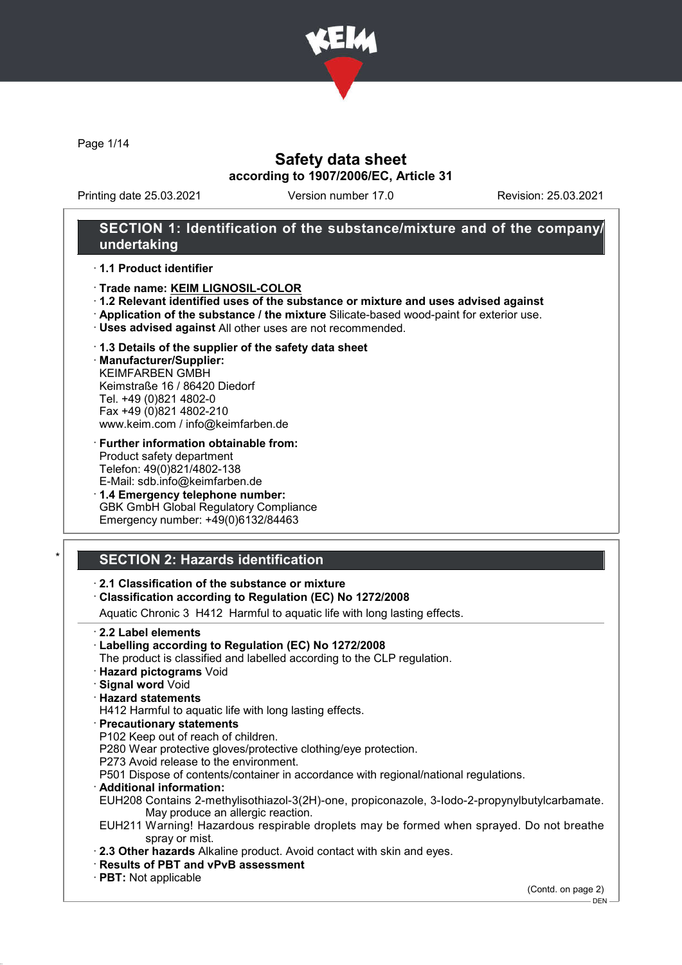

Page 1/14

### Safety data sheet according to 1907/2006/EC, Article 31

Printing date 25.03.2021 Version number 17.0 Revision: 25.03.2021

### SECTION 1: Identification of the substance/mixture and of the company/ undertaking

#### · 1.1 Product identifier

- · Trade name: KEIM LIGNOSIL-COLOR
- · 1.2 Relevant identified uses of the substance or mixture and uses advised against
- · Application of the substance / the mixture Silicate-based wood-paint for exterior use.
- · Uses advised against All other uses are not recommended.
- · 1.3 Details of the supplier of the safety data sheet
- · Manufacturer/Supplier: KEIMFARBEN GMBH Keimstraße 16 / 86420 Diedorf Tel. +49 (0)821 4802-0 Fax +49 (0)821 4802-210 www.keim.com / info@keimfarben.de
- · Further information obtainable from: Product safety department Telefon: 49(0)821/4802-138 E-Mail: sdb.info@keimfarben.de
- · 1.4 Emergency telephone number: GBK GmbH Global Regulatory Compliance Emergency number: +49(0)6132/84463

# **SECTION 2: Hazards identification**

- · 2.1 Classification of the substance or mixture
- · Classification according to Regulation (EC) No 1272/2008

Aquatic Chronic 3 H412 Harmful to aquatic life with long lasting effects.

- · 2.2 Label elements
- · Labelling according to Regulation (EC) No 1272/2008
- The product is classified and labelled according to the CLP regulation.
- · Hazard pictograms Void
- · Signal word Void
- · Hazard statements

H412 Harmful to aquatic life with long lasting effects.

- · Precautionary statements
- P102 Keep out of reach of children.
- P280 Wear protective gloves/protective clothing/eye protection.
- P273 Avoid release to the environment.

P501 Dispose of contents/container in accordance with regional/national regulations.

- · Additional information:
- EUH208 Contains 2-methylisothiazol-3(2H)-one, propiconazole, 3-Iodo-2-propynylbutylcarbamate. May produce an allergic reaction.
- EUH211 Warning! Hazardous respirable droplets may be formed when sprayed. Do not breathe spray or mist.
- · 2.3 Other hazards Alkaline product. Avoid contact with skin and eyes.
- · Results of PBT and vPvB assessment
- · PBT: Not applicable

(Contd. on page 2)

DEN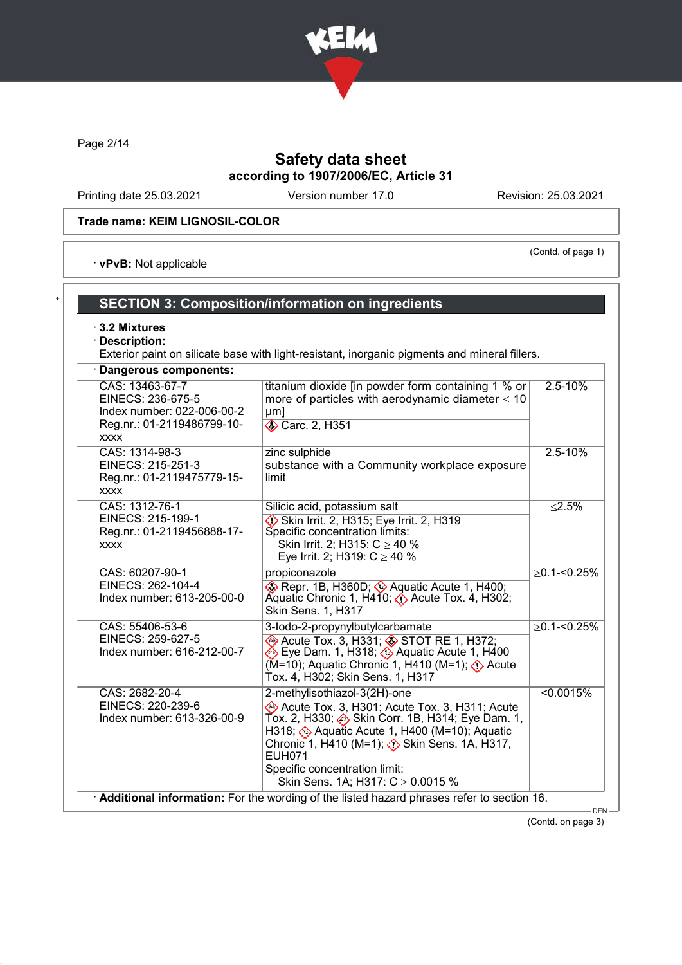

Page 2/14

# Safety data sheet according to 1907/2006/EC, Article 31

Printing date 25.03.2021 Version number 17.0 Revision: 25.03.2021

(Contd. of page 1)

### Trade name: KEIM LIGNOSIL-COLOR

· vPvB: Not applicable

# SECTION 3: Composition/information on ingredients

· 3.2 Mixtures

### · Description:

Exterior paint on silicate base with light-resistant, inorganic pigments and mineral fillers.

| Dangerous components:                                                                                           |                                                                                                                                                                                                                                                                               |                   |
|-----------------------------------------------------------------------------------------------------------------|-------------------------------------------------------------------------------------------------------------------------------------------------------------------------------------------------------------------------------------------------------------------------------|-------------------|
| CAS: 13463-67-7<br>EINECS: 236-675-5<br>Index number: 022-006-00-2<br>Reg.nr.: 01-2119486799-10-<br><b>XXXX</b> | titanium dioxide [in powder form containing 1 % or<br>more of particles with aerodynamic diameter $\leq 10$<br>µm]<br><b>◆ Carc. 2, H351</b>                                                                                                                                  | 2.5-10%           |
| CAS: 1314-98-3<br>EINECS: 215-251-3<br>Reg.nr.: 01-2119475779-15-<br><b>XXXX</b>                                | zinc sulphide<br>substance with a Community workplace exposure<br>limit                                                                                                                                                                                                       | $2.5 - 10%$       |
| CAS: 1312-76-1<br>EINECS: 215-199-1<br>Reg.nr.: 01-2119456888-17-<br><b>XXXX</b>                                | Silicic acid, potassium salt<br>$\diamondsuit$ Skin Irrit. 2, H315; Eye Irrit. 2, H319<br>Specific concentration limits:<br>Skin Irrit. 2; H315: $C \ge 40$ %<br>Eye Irrit. 2; H319: $C \ge 40$ %                                                                             | < 2.5%            |
| CAS: 60207-90-1<br>EINECS: 262-104-4<br>Index number: 613-205-00-0                                              | propiconazole<br>Repr. 1B, H360D; Aquatic Acute 1, H400;<br>Aquatic Chronic 1, H410; $\diamondsuit$ Acute Tox. 4, H302;<br><b>Skin Sens. 1, H317</b>                                                                                                                          | $\geq$ 0.1-<0.25% |
| CAS: 55406-53-6<br>EINECS: 259-627-5<br>Index number: 616-212-00-7                                              | 3-lodo-2-propynylbutylcarbamate<br>Acute Tox. 3, H331; STOT RE 1, H372;<br><b>i</b> Eye Dam. 1, H318; <mark>♦</mark> Aquatic Acute 1, H400<br>Tox. 4, H302; Skin Sens. 1, H317                                                                                                | $>0.1 - 0.25\%$   |
| CAS: 2682-20-4<br>EINECS: 220-239-6<br>Index number: 613-326-00-9                                               | 2-methylisothiazol-3(2H)-one<br>Acute Tox. 3, H301; Acute Tox. 3, H311; Acute<br>Tox. 2, H330; . Skin Corr. 1B, H314; Eye Dam. 1,<br>H318; ۞ Aquatic Acute 1, H400 (M=10); Aquatic<br><b>EUH071</b><br>Specific concentration limit:<br>Skin Sens. 1A; H317: $C \ge 0.0015$ % | < 0.0015%         |

(Contd. on page 3)

DEN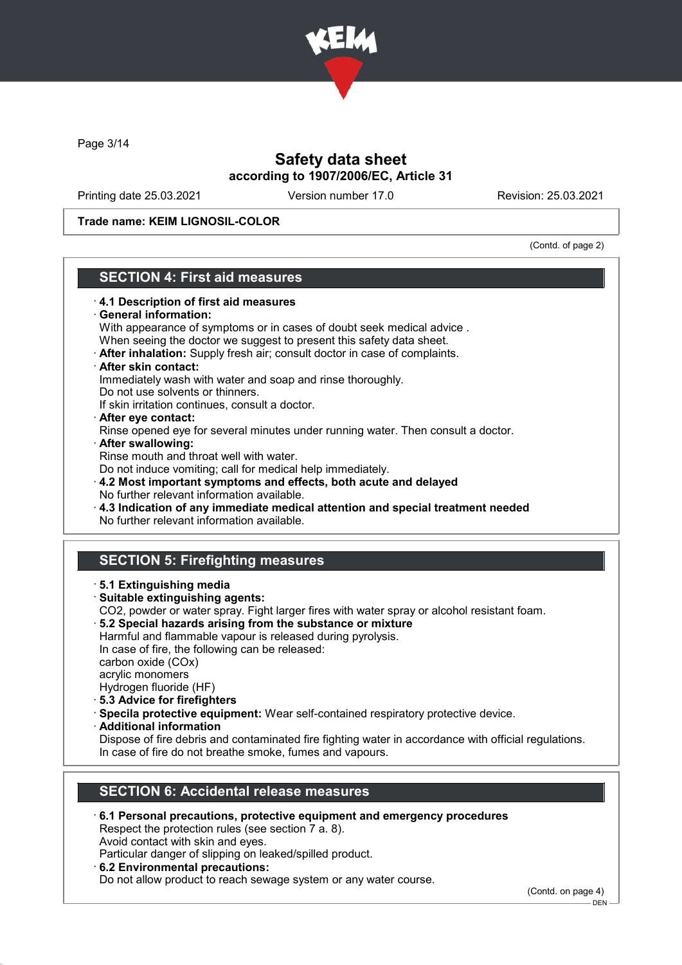

Page 3/14

## Safety data sheet according to 1907/2006/EC, Article 31

Printing date 25.03.2021 Version number 17.0 Revision: 25.03.2021

### Trade name: KEIM LIGNOSIL-COLOR

(Contd. of page 2)

### SECTION 4: First aid measures · 4.1 Description of first aid measures General information: With appearance of symptoms or in cases of doubt seek medical advice . When seeing the doctor we suggest to present this safety data sheet. · After inhalation: Supply fresh air; consult doctor in case of complaints. · After skin contact: Immediately wash with water and soap and rinse thoroughly. Do not use solvents or thinners. If skin irritation continues, consult a doctor. · After eye contact: Rinse opened eye for several minutes under running water. Then consult a doctor. · After swallowing: Rinse mouth and throat well with water. Do not induce vomiting; call for medical help immediately. · 4.2 Most important symptoms and effects, both acute and delayed No further relevant information available. · 4.3 Indication of any immediate medical attention and special treatment needed No further relevant information available. SECTION 5: Firefighting measures · 5.1 Extinguishing media · Suitable extinguishing agents: CO2, powder or water spray. Fight larger fires with water spray or alcohol resistant foam. · 5.2 Special hazards arising from the substance or mixture Harmful and flammable vapour is released during pyrolysis. In case of fire, the following can be released: carbon oxide (COx) acrylic monomers Hydrogen fluoride (HF) · 5.3 Advice for firefighters · Specila protective equipment: Wear self-contained respiratory protective device. · Additional information Dispose of fire debris and contaminated fire fighting water in accordance with official regulations. In case of fire do not breathe smoke, fumes and vapours. SECTION 6: Accidental release measures · 6.1 Personal precautions, protective equipment and emergency procedures Respect the protection rules (see section 7 a. 8). Avoid contact with skin and eyes.

Particular danger of slipping on leaked/spilled product.

· 6.2 Environmental precautions:

Do not allow product to reach sewage system or any water course.

(Contd. on page 4)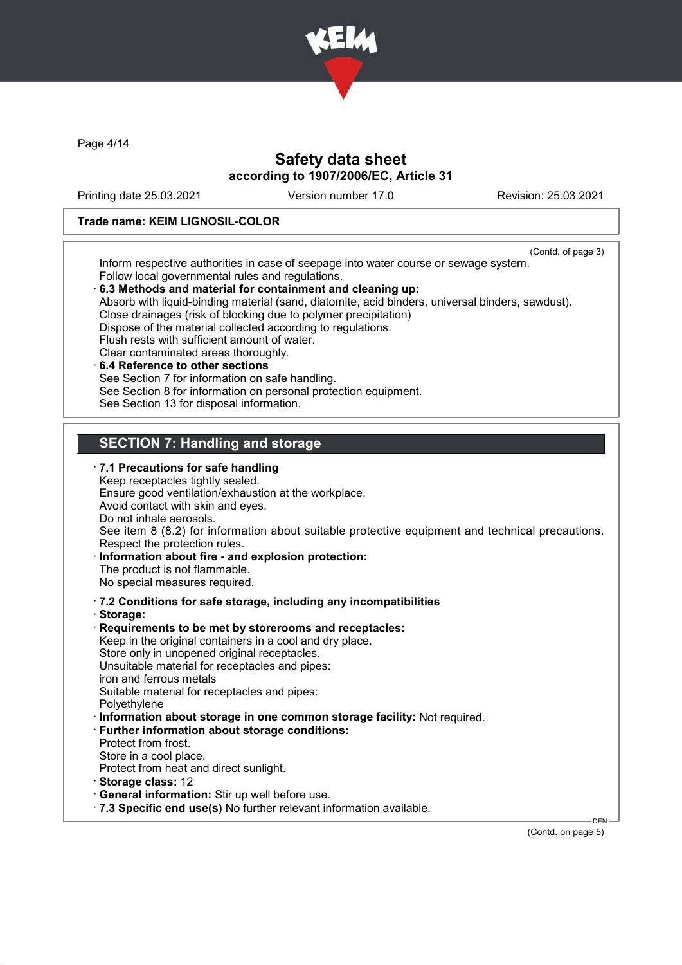

Page 4/14

### Safety data sheet according to 1907/2006/EC, Article 31

Printing date 25.03.2021 Version number 17.0 Revision: 25.03.2021

#### Trade name: KEIM LIGNOSIL-COLOR

(Contd. of page 3)

Inform respective authorities in case of seepage into water course or sewage system. Follow local governmental rules and regulations.

· 6.3 Methods and material for containment and cleaning up: Absorb with liquid-binding material (sand, diatomite, acid binders, universal binders, sawdust). Close drainages (risk of blocking due to polymer precipitation) Dispose of the material collected according to regulations. Flush rests with sufficient amount of water. Clear contaminated areas thoroughly. 6.4 Reference to other sections See Section 7 for information on safe handling. See Section 8 for information on personal protection equipment. See Section 13 for disposal information. SECTION 7: Handling and storage · 7.1 Precautions for safe handling Keep receptacles tightly sealed. Ensure good ventilation/exhaustion at the workplace. Avoid contact with skin and eyes. Do not inhale aerosols. See item 8 (8.2) for information about suitable protective equipment and technical precautions. Respect the protection rules. Information about fire - and explosion protection: The product is not flammable. No special measures required. · 7.2 Conditions for safe storage, including any incompatibilities · Storage: Requirements to be met by storerooms and receptacles: Keep in the original containers in a cool and dry place. Store only in unopened original receptacles. Unsuitable material for receptacles and pipes: iron and ferrous metals Suitable material for receptacles and pipes: Polyethylene · Information about storage in one common storage facility: Not required. · Further information about storage conditions: Protect from frost. Store in a cool place. Protect from heat and direct sunlight. · Storage class: 12 · General information: Stir up well before use. · 7.3 Specific end use(s) No further relevant information available. DEN

(Contd. on page 5)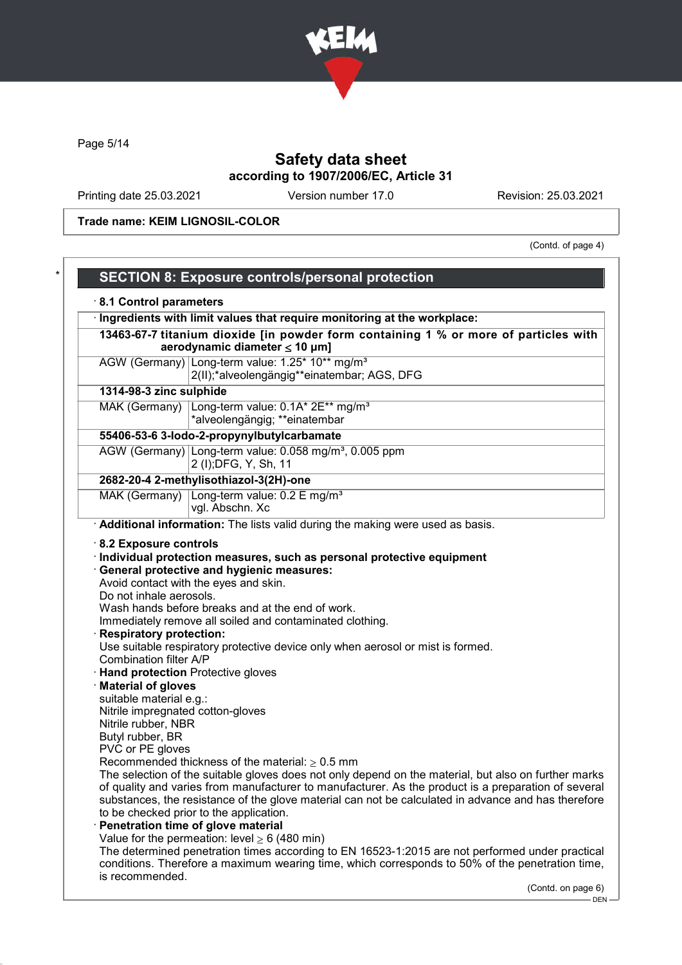

Page 5/14

# Safety data sheet according to 1907/2006/EC, Article 31

Printing date 25.03.2021 Version number 17.0 Revision: 25.03.2021

Trade name: KEIM LIGNOSIL-COLOR

(Contd. of page 4)

|                                                           | Ingredients with limit values that require monitoring at the workplace:                                                                                                                                                                                                                                                                                                                                                                                                                                                                                                        |
|-----------------------------------------------------------|--------------------------------------------------------------------------------------------------------------------------------------------------------------------------------------------------------------------------------------------------------------------------------------------------------------------------------------------------------------------------------------------------------------------------------------------------------------------------------------------------------------------------------------------------------------------------------|
|                                                           | 13463-67-7 titanium dioxide [in powder form containing 1 % or more of particles with<br>aerodynamic diameter $\leq$ 10 µm]                                                                                                                                                                                                                                                                                                                                                                                                                                                     |
|                                                           | AGW (Germany) Long-term value: 1.25* 10** mg/m <sup>3</sup>                                                                                                                                                                                                                                                                                                                                                                                                                                                                                                                    |
|                                                           | 2(II);*alveolengängig**einatembar; AGS, DFG                                                                                                                                                                                                                                                                                                                                                                                                                                                                                                                                    |
| 1314-98-3 zinc sulphide                                   |                                                                                                                                                                                                                                                                                                                                                                                                                                                                                                                                                                                |
|                                                           | MAK (Germany) Long-term value: 0.1A* 2E** mg/m <sup>3</sup>                                                                                                                                                                                                                                                                                                                                                                                                                                                                                                                    |
|                                                           | *alveolengängig; **einatembar                                                                                                                                                                                                                                                                                                                                                                                                                                                                                                                                                  |
|                                                           | 55406-53-6 3-lodo-2-propynylbutylcarbamate                                                                                                                                                                                                                                                                                                                                                                                                                                                                                                                                     |
|                                                           | AGW (Germany) Long-term value: 0.058 mg/m <sup>3</sup> , 0.005 ppm                                                                                                                                                                                                                                                                                                                                                                                                                                                                                                             |
|                                                           | 2 (I); DFG, Y, Sh, 11                                                                                                                                                                                                                                                                                                                                                                                                                                                                                                                                                          |
|                                                           | 2682-20-4 2-methylisothiazol-3(2H)-one                                                                                                                                                                                                                                                                                                                                                                                                                                                                                                                                         |
|                                                           | MAK (Germany) Long-term value: 0.2 E mg/m <sup>3</sup>                                                                                                                                                                                                                                                                                                                                                                                                                                                                                                                         |
|                                                           | vgl. Abschn. Xc                                                                                                                                                                                                                                                                                                                                                                                                                                                                                                                                                                |
|                                                           | Additional information: The lists valid during the making were used as basis.                                                                                                                                                                                                                                                                                                                                                                                                                                                                                                  |
| <b>Respiratory protection:</b>                            | Do not inhale aerosols.<br>Wash hands before breaks and at the end of work.<br>Immediately remove all soiled and contaminated clothing.                                                                                                                                                                                                                                                                                                                                                                                                                                        |
| Combination filter A/P<br>suitable material e.g.:         | Use suitable respiratory protective device only when aerosol or mist is formed.<br><b>Hand protection Protective gloves</b>                                                                                                                                                                                                                                                                                                                                                                                                                                                    |
| · Material of gloves<br>Nitrile impregnated cotton-gloves |                                                                                                                                                                                                                                                                                                                                                                                                                                                                                                                                                                                |
| Nitrile rubber, NBR                                       |                                                                                                                                                                                                                                                                                                                                                                                                                                                                                                                                                                                |
| Butyl rubber, BR                                          |                                                                                                                                                                                                                                                                                                                                                                                                                                                                                                                                                                                |
| PVC or PE gloves                                          | Recommended thickness of the material: $\geq 0.5$ mm                                                                                                                                                                                                                                                                                                                                                                                                                                                                                                                           |
|                                                           |                                                                                                                                                                                                                                                                                                                                                                                                                                                                                                                                                                                |
|                                                           |                                                                                                                                                                                                                                                                                                                                                                                                                                                                                                                                                                                |
|                                                           |                                                                                                                                                                                                                                                                                                                                                                                                                                                                                                                                                                                |
|                                                           | to be checked prior to the application.                                                                                                                                                                                                                                                                                                                                                                                                                                                                                                                                        |
|                                                           | Penetration time of glove material                                                                                                                                                                                                                                                                                                                                                                                                                                                                                                                                             |
|                                                           | The selection of the suitable gloves does not only depend on the material, but also on further marks<br>of quality and varies from manufacturer to manufacturer. As the product is a preparation of several<br>substances, the resistance of the glove material can not be calculated in advance and has therefore<br>Value for the permeation: level $\geq 6$ (480 min)<br>The determined penetration times according to EN 16523-1:2015 are not performed under practical<br>conditions. Therefore a maximum wearing time, which corresponds to 50% of the penetration time, |
| is recommended.                                           | (Contd. on page 6)                                                                                                                                                                                                                                                                                                                                                                                                                                                                                                                                                             |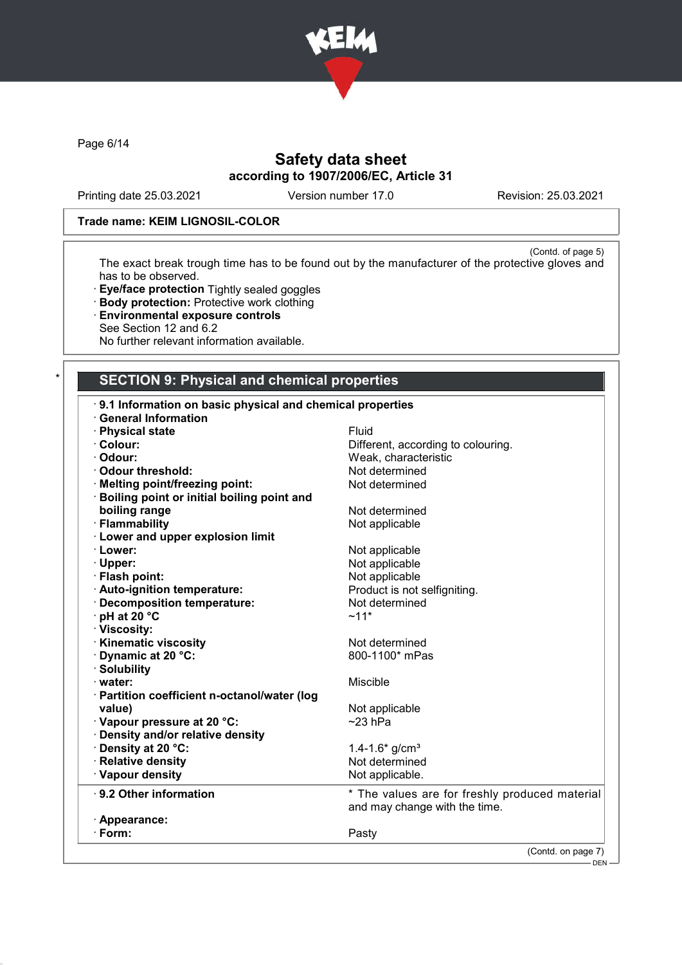

Page 6/14

# Safety data sheet according to 1907/2006/EC, Article 31

Printing date 25.03.2021 Version number 17.0 Revision: 25.03.2021

### Trade name: KEIM LIGNOSIL-COLOR

(Contd. of page 5) The exact break trough time has to be found out by the manufacturer of the protective gloves and has to be observed.

- · Eye/face protection Tightly sealed goggles
- · Body protection: Protective work clothing
- · Environmental exposure controls
- See Section 12 and 6.2
- No further relevant information available.

### SECTION 9: Physical and chemical properties

| 9.1 Information on basic physical and chemical properties |                                                                                 |
|-----------------------------------------------------------|---------------------------------------------------------------------------------|
| <b>General Information</b>                                |                                                                                 |
| · Physical state                                          | Fluid                                                                           |
| · Colour:                                                 | Different, according to colouring.                                              |
| · Odour:                                                  | Weak, characteristic                                                            |
| Odour threshold:                                          | Not determined                                                                  |
| · Melting point/freezing point:                           | Not determined                                                                  |
| · Boiling point or initial boiling point and              |                                                                                 |
| boiling range                                             | Not determined                                                                  |
| · Flammability                                            | Not applicable                                                                  |
| <b>Lower and upper explosion limit</b>                    |                                                                                 |
| · Lower:                                                  | Not applicable                                                                  |
| · Upper:                                                  | Not applicable                                                                  |
| · Flash point:                                            | Not applicable                                                                  |
| · Auto-ignition temperature:                              | Product is not selfigniting.                                                    |
| · Decomposition temperature:                              | Not determined                                                                  |
| $\cdot$ pH at 20 $\degree$ C                              | $~11*$                                                                          |
| · Viscosity:                                              |                                                                                 |
| · Kinematic viscosity                                     | Not determined                                                                  |
| Dynamic at 20 °C:                                         | 800-1100* mPas                                                                  |
| · Solubility                                              |                                                                                 |
| $\cdot$ water:                                            | Miscible                                                                        |
| · Partition coefficient n-octanol/water (log              |                                                                                 |
| value)                                                    | Not applicable                                                                  |
| Vapour pressure at 20 °C:                                 | $~23$ hPa                                                                       |
| · Density and/or relative density                         |                                                                                 |
| · Density at 20 °C:                                       | 1.4-1.6* $g/cm3$                                                                |
| · Relative density                                        | Not determined                                                                  |
| · Vapour density                                          | Not applicable.                                                                 |
| ⋅ 9.2 Other information                                   | * The values are for freshly produced material<br>and may change with the time. |
| · Appearance:                                             |                                                                                 |
| $\cdot$ Form:                                             | Pasty                                                                           |
|                                                           | (Contd. on page 7)                                                              |

DEN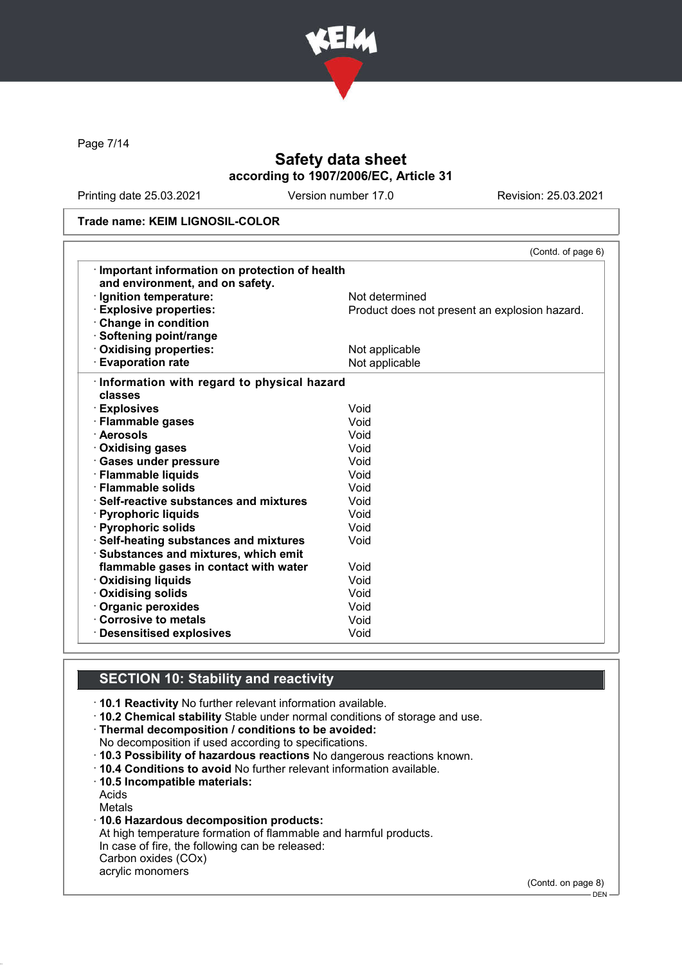

Page 7/14

# Safety data sheet according to 1907/2006/EC, Article 31

Printing date 25.03.2021 Version number 17.0 Revision: 25.03.2021

#### Trade name: KEIM LIGNOSIL-COLOR

| Important information on protection of health | (Contd. of page 6)                            |
|-----------------------------------------------|-----------------------------------------------|
| and environment, and on safety.               |                                               |
| · Ignition temperature:                       | Not determined                                |
| <b>Explosive properties:</b>                  | Product does not present an explosion hazard. |
| Change in condition                           |                                               |
| · Softening point/range                       |                                               |
| Oxidising properties:                         | Not applicable                                |
| <b>Evaporation rate</b>                       | Not applicable                                |
|                                               |                                               |
| · Information with regard to physical hazard  |                                               |
| classes                                       |                                               |
| · Explosives                                  | Void                                          |
| · Flammable gases                             | Void                                          |
| · Aerosols                                    | Void                                          |
| · Oxidising gases                             | Void                                          |
| · Gases under pressure                        | Void                                          |
| · Flammable liquids                           | Void                                          |
| · Flammable solids                            | Void                                          |
| $\cdot$ Self-reactive substances and mixtures | Void                                          |
| · Pyrophoric liquids                          | Void                                          |
| · Pyrophoric solids                           | Void                                          |
| · Self-heating substances and mixtures        | Void                                          |
| Substances and mixtures, which emit           |                                               |
| flammable gases in contact with water         | Void                                          |
| · Oxidising liquids                           | Void                                          |
| Oxidising solids                              | Void                                          |
| · Organic peroxides                           | Void                                          |
| Corrosive to metals                           | Void                                          |
| <b>Desensitised explosives</b>                | Void                                          |

### SECTION 10: Stability and reactivity

· 10.1 Reactivity No further relevant information available.

· 10.2 Chemical stability Stable under normal conditions of storage and use.

· Thermal decomposition / conditions to be avoided:

No decomposition if used according to specifications.

- · 10.3 Possibility of hazardous reactions No dangerous reactions known.
- · 10.4 Conditions to avoid No further relevant information available.
- · 10.5 Incompatible materials:

Acids

Metals

· 10.6 Hazardous decomposition products:

At high temperature formation of flammable and harmful products. In case of fire, the following can be released: Carbon oxides (COx)

acrylic monomers

(Contd. on page 8)

DEN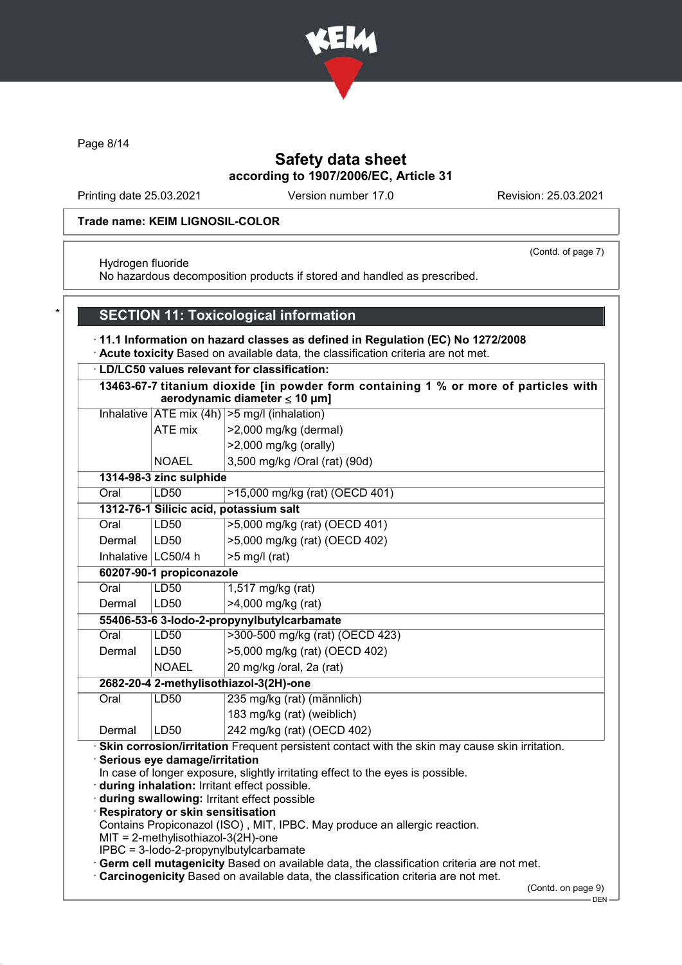

Page 8/14

# Safety data sheet according to 1907/2006/EC, Article 31

Printing date 25.03.2021 Version number 17.0 Revision: 25.03.2021

(Contd. of page 7)

#### Trade name: KEIM LIGNOSIL-COLOR

Hydrogen fluoride

No hazardous decomposition products if stored and handled as prescribed.

# SECTION 11: Toxicological information

· 11.1 Information on hazard classes as defined in Regulation (EC) No 1272/2008

· Acute toxicity Based on available data, the classification criteria are not met.

#### · LD/LC50 values relevant for classification:

|        | LD/LC50 values relevant for classification:                        |                                                                                                                                                                                                                                                                                  |  |
|--------|--------------------------------------------------------------------|----------------------------------------------------------------------------------------------------------------------------------------------------------------------------------------------------------------------------------------------------------------------------------|--|
|        |                                                                    | 13463-67-7 titanium dioxide [in powder form containing 1 % or more of particles with<br>aerodynamic diameter $\leq$ 10 µm]                                                                                                                                                       |  |
|        |                                                                    | Inhalative $ ATE \text{ mix } (4h)   > 5 \text{ mg/l } (inhalation)$                                                                                                                                                                                                             |  |
|        | ATE mix                                                            | >2,000 mg/kg (dermal)                                                                                                                                                                                                                                                            |  |
|        |                                                                    | >2,000 mg/kg (orally)                                                                                                                                                                                                                                                            |  |
|        | <b>NOAEL</b>                                                       | 3,500 mg/kg /Oral (rat) (90d)                                                                                                                                                                                                                                                    |  |
|        | 1314-98-3 zinc sulphide                                            |                                                                                                                                                                                                                                                                                  |  |
| Oral   | LD50                                                               | >15,000 mg/kg (rat) (OECD 401)                                                                                                                                                                                                                                                   |  |
|        |                                                                    | 1312-76-1 Silicic acid, potassium salt                                                                                                                                                                                                                                           |  |
| Oral   | LD50                                                               | >5,000 mg/kg (rat) (OECD 401)                                                                                                                                                                                                                                                    |  |
| Dermal | LD50                                                               | >5,000 mg/kg (rat) (OECD 402)                                                                                                                                                                                                                                                    |  |
|        | Inhalative   LC50/4 h                                              | $>5$ mg/l (rat)                                                                                                                                                                                                                                                                  |  |
|        | 60207-90-1 propiconazole                                           |                                                                                                                                                                                                                                                                                  |  |
| Oral   | LD50                                                               | 1,517 mg/kg (rat)                                                                                                                                                                                                                                                                |  |
| Dermal | LD50                                                               | >4,000 mg/kg (rat)                                                                                                                                                                                                                                                               |  |
|        |                                                                    | 55406-53-6 3-lodo-2-propynylbutylcarbamate                                                                                                                                                                                                                                       |  |
| Oral   | <b>LD50</b>                                                        | >300-500 mg/kg (rat) (OECD 423)                                                                                                                                                                                                                                                  |  |
| Dermal | LD50                                                               | >5,000 mg/kg (rat) (OECD 402)                                                                                                                                                                                                                                                    |  |
|        | <b>NOAEL</b>                                                       | 20 mg/kg /oral, 2a (rat)                                                                                                                                                                                                                                                         |  |
|        |                                                                    | 2682-20-4 2-methylisothiazol-3(2H)-one                                                                                                                                                                                                                                           |  |
| Oral   | LD50                                                               | 235 mg/kg (rat) (männlich)                                                                                                                                                                                                                                                       |  |
|        |                                                                    | 183 mg/kg (rat) (weiblich)                                                                                                                                                                                                                                                       |  |
| Dermal | LD50                                                               | 242 mg/kg (rat) (OECD 402)                                                                                                                                                                                                                                                       |  |
|        | Serious eye damage/irritation<br>Respiratory or skin sensitisation | Skin corrosion/irritation Frequent persistent contact with the skin may cause skin irritation.<br>In case of longer exposure, slightly irritating effect to the eyes is possible.<br>during inhalation: Irritant effect possible.<br>during swallowing: Irritant effect possible |  |
|        | $MIT = 2-methylisothiazol-3(2H)-one$                               | Contains Propiconazol (ISO), MIT, IPBC. May produce an allergic reaction.                                                                                                                                                                                                        |  |

IPBC = 3-Iodo-2-propynylbutylcarbamate

· Germ cell mutagenicity Based on available data, the classification criteria are not met.

· Carcinogenicity Based on available data, the classification criteria are not met.

(Contd. on page 9)

 $-$  DEN -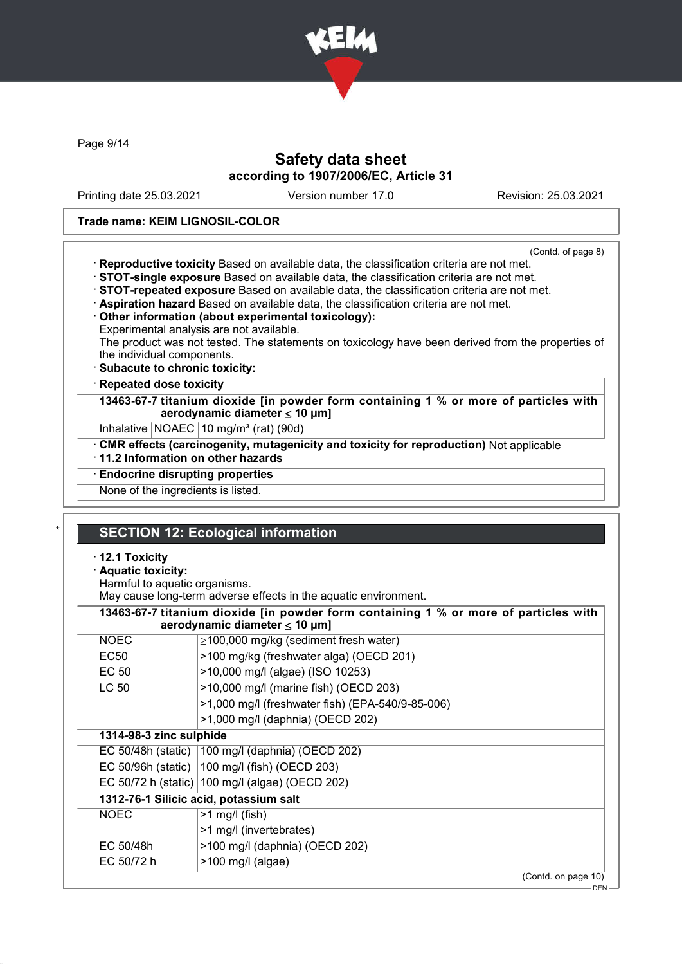

Page 9/14

# Safety data sheet according to 1907/2006/EC, Article 31

Printing date 25.03.2021 Version number 17.0 Revision: 25.03.2021

#### Trade name: KEIM LIGNOSIL-COLOR

(Contd. of page 8)

| · Reproductive toxicity Based on available data, the classification criteria are not met.         |
|---------------------------------------------------------------------------------------------------|
| STOT-single exposure Based on available data, the classification criteria are not met.            |
| STOT-repeated exposure Based on available data, the classification criteria are not met.          |
| Aspiration hazard Based on available data, the classification criteria are not met.               |
| Other information (about experimental toxicology):                                                |
| Experimental analysis are not available.                                                          |
| The product was not tested. The statements on toxicology have been derived from the properties of |
| the individual components.                                                                        |
| · Subacute to chronic toxicity:                                                                   |
|                                                                                                   |

#### · Repeated dose toxicity

13463-67-7 titanium dioxide [in powder form containing 1 % or more of particles with aerodynamic diameter  $\leq 10$  µm]

Inhalative | NOAEC | 10 mg/m<sup>3</sup> (rat) (90d)

· CMR effects (carcinogenity, mutagenicity and toxicity for reproduction) Not applicable

· 11.2 Information on other hazards

· Endocrine disrupting properties

None of the ingredients is listed.

### **SECTION 12: Ecological information**

#### · 12.1 Toxicity

### · Aquatic toxicity:

Harmful to aquatic organisms.

May cause long-term adverse effects in the aquatic environment.

| 13463-67-7 titanium dioxide [in powder form containing 1 % or more of particles with<br>aerodynamic diameter $\leq 10$ µm] |                                                    |  |
|----------------------------------------------------------------------------------------------------------------------------|----------------------------------------------------|--|
| <b>NOEC</b>                                                                                                                | $\geq$ 100,000 mg/kg (sediment fresh water)        |  |
| EC <sub>50</sub>                                                                                                           | >100 mg/kg (freshwater alga) (OECD 201)            |  |
| EC 50                                                                                                                      | >10,000 mg/l (algae) (ISO 10253)                   |  |
| LC 50                                                                                                                      | >10,000 mg/l (marine fish) (OECD 203)              |  |
|                                                                                                                            | >1,000 mg/l (freshwater fish) (EPA-540/9-85-006)   |  |
|                                                                                                                            | >1,000 mg/l (daphnia) (OECD 202)                   |  |
| 1314-98-3 zinc sulphide                                                                                                    |                                                    |  |
|                                                                                                                            | EC 50/48h (static)   100 mg/l (daphnia) (OECD 202) |  |
|                                                                                                                            | EC 50/96h (static)   100 mg/l (fish) (OECD 203)    |  |
|                                                                                                                            | EC 50/72 h (static) 100 mg/l (algae) (OECD 202)    |  |
| 1312-76-1 Silicic acid, potassium salt                                                                                     |                                                    |  |
| <b>NOEC</b>                                                                                                                | $>1$ mg/l (fish)                                   |  |
|                                                                                                                            | >1 mg/l (invertebrates)                            |  |
| EC 50/48h                                                                                                                  | >100 mg/l (daphnia) (OECD 202)                     |  |
| EC 50/72 h                                                                                                                 | $>100$ mg/l (algae)                                |  |
|                                                                                                                            | (Contd. on page 10)                                |  |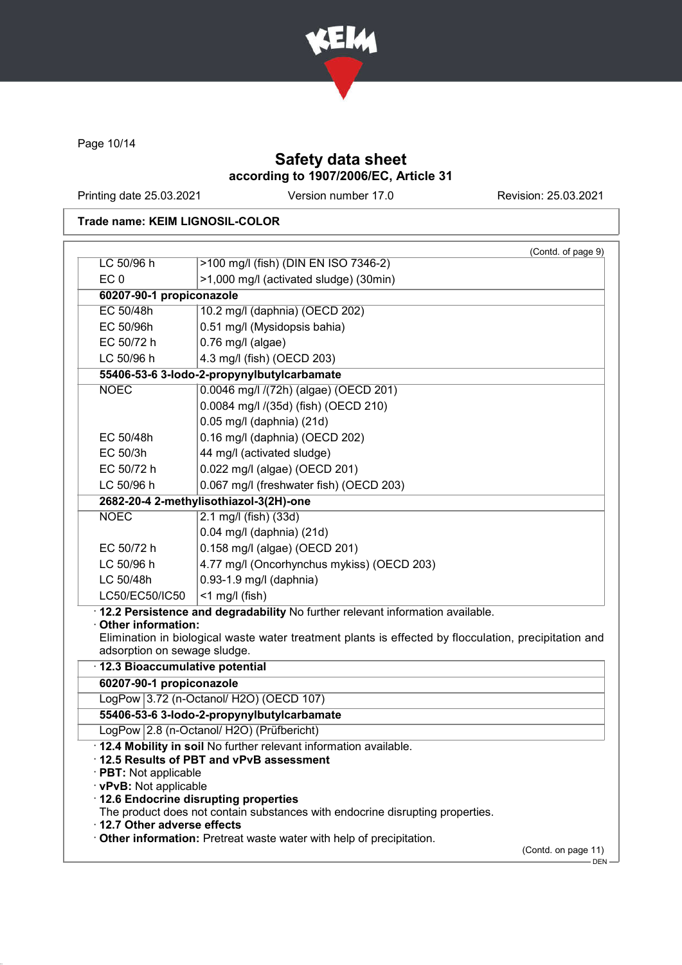

Page 10/14

# Safety data sheet according to 1907/2006/EC, Article 31

Printing date 25.03.2021 Version number 17.0 Revision: 25.03.2021

### Trade name: KEIM LIGNOSIL-COLOR

|                                                                                        |                                                                                                                                                                                                                                                                                       | (Contd. of page 9) |
|----------------------------------------------------------------------------------------|---------------------------------------------------------------------------------------------------------------------------------------------------------------------------------------------------------------------------------------------------------------------------------------|--------------------|
| LC 50/96 h                                                                             | >100 mg/l (fish) (DIN EN ISO 7346-2)                                                                                                                                                                                                                                                  |                    |
| EC <sub>0</sub>                                                                        | >1,000 mg/l (activated sludge) (30min)                                                                                                                                                                                                                                                |                    |
| 60207-90-1 propiconazole                                                               |                                                                                                                                                                                                                                                                                       |                    |
| EC 50/48h                                                                              | 10.2 mg/l (daphnia) (OECD 202)                                                                                                                                                                                                                                                        |                    |
| EC 50/96h                                                                              | 0.51 mg/l (Mysidopsis bahia)                                                                                                                                                                                                                                                          |                    |
| EC 50/72 h                                                                             | $0.76$ mg/l (algae)                                                                                                                                                                                                                                                                   |                    |
| LC 50/96 h                                                                             | 4.3 mg/l (fish) (OECD 203)                                                                                                                                                                                                                                                            |                    |
|                                                                                        | 55406-53-6 3-lodo-2-propynylbutylcarbamate                                                                                                                                                                                                                                            |                    |
| <b>NOEC</b>                                                                            | 0.0046 mg/l /(72h) (algae) (OECD 201)                                                                                                                                                                                                                                                 |                    |
|                                                                                        | 0.0084 mg/l /(35d) (fish) (OECD 210)                                                                                                                                                                                                                                                  |                    |
|                                                                                        | 0.05 mg/l (daphnia) (21d)                                                                                                                                                                                                                                                             |                    |
| EC 50/48h                                                                              | 0.16 mg/l (daphnia) (OECD 202)                                                                                                                                                                                                                                                        |                    |
| EC 50/3h                                                                               | 44 mg/l (activated sludge)                                                                                                                                                                                                                                                            |                    |
| EC 50/72 h                                                                             | 0.022 mg/l (algae) (OECD 201)                                                                                                                                                                                                                                                         |                    |
| LC 50/96 h                                                                             | 0.067 mg/l (freshwater fish) (OECD 203)                                                                                                                                                                                                                                               |                    |
|                                                                                        | 2682-20-4 2-methylisothiazol-3(2H)-one                                                                                                                                                                                                                                                |                    |
| <b>NOEC</b>                                                                            | 2.1 mg/l (fish) (33d)                                                                                                                                                                                                                                                                 |                    |
|                                                                                        | 0.04 mg/l (daphnia) (21d)                                                                                                                                                                                                                                                             |                    |
| EC 50/72 h                                                                             | 0.158 mg/l (algae) (OECD 201)                                                                                                                                                                                                                                                         |                    |
| LC 50/96 h                                                                             | 4.77 mg/l (Oncorhynchus mykiss) (OECD 203)                                                                                                                                                                                                                                            |                    |
| LC 50/48h                                                                              | 0.93-1.9 mg/l (daphnia)                                                                                                                                                                                                                                                               |                    |
| LC50/EC50/IC50                                                                         | $<$ 1 mg/l (fish)                                                                                                                                                                                                                                                                     |                    |
| Other information:<br>adsorption on sewage sludge.<br>· 12.3 Bioaccumulative potential | Elimination in biological waste water treatment plants is effected by flocculation, precipitation and                                                                                                                                                                                 |                    |
|                                                                                        |                                                                                                                                                                                                                                                                                       |                    |
|                                                                                        |                                                                                                                                                                                                                                                                                       |                    |
| 60207-90-1 propiconazole                                                               |                                                                                                                                                                                                                                                                                       |                    |
|                                                                                        | LogPow 3.72 (n-Octanol/ H2O) (OECD 107)                                                                                                                                                                                                                                               |                    |
|                                                                                        | 55406-53-6 3-lodo-2-propynylbutylcarbamate                                                                                                                                                                                                                                            |                    |
| $\cdot$ PBT: Not applicable<br>· vPvB: Not applicable                                  | LogPow 2.8 (n-Octanol/ H2O) (Prüfbericht)<br>. 12.4 Mobility in soil No further relevant information available.<br>12.5 Results of PBT and vPvB assessment<br>· 12.6 Endocrine disrupting properties<br>The product does not contain substances with endocrine disrupting properties. |                    |
| 12.7 Other adverse effects                                                             | Other information: Pretreat waste water with help of precipitation.                                                                                                                                                                                                                   |                    |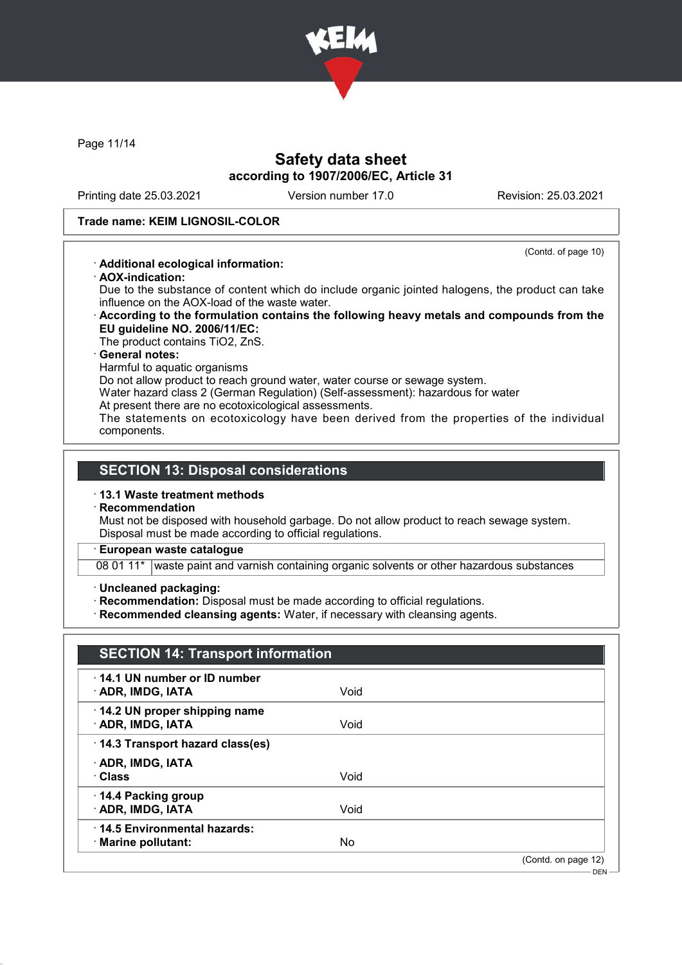

Page 11/14

### Safety data sheet according to 1907/2006/EC, Article 31

Printing date 25.03.2021 Version number 17.0 Revision: 25.03.2021

(Contd. of page 10)

### Trade name: KEIM LIGNOSIL-COLOR

### · Additional ecological information:

· AOX-indication:

Due to the substance of content which do include organic jointed halogens, the product can take influence on the AOX-load of the waste water.

### · According to the formulation contains the following heavy metals and compounds from the EU guideline NO. 2006/11/EC:

The product contains TiO2, ZnS.

#### General notes:

Harmful to aquatic organisms

Do not allow product to reach ground water, water course or sewage system.

- Water hazard class 2 (German Regulation) (Self-assessment): hazardous for water
- At present there are no ecotoxicological assessments.

The statements on ecotoxicology have been derived from the properties of the individual components.

### SECTION 13: Disposal considerations

#### · 13.1 Waste treatment methods

**Recommendation** 

Must not be disposed with household garbage. Do not allow product to reach sewage system. Disposal must be made according to official regulations.

### · European waste catalogue

08 01 11\* waste paint and varnish containing organic solvents or other hazardous substances

- · Uncleaned packaging:
- · Recommendation: Disposal must be made according to official regulations.
- · Recommended cleansing agents: Water, if necessary with cleansing agents.

| 14.1 UN number or ID number<br>· ADR, IMDG, IATA  | Void |  |
|---------------------------------------------------|------|--|
|                                                   |      |  |
| 14.2 UN proper shipping name<br>· ADR, IMDG, IATA | Void |  |
| 14.3 Transport hazard class(es)                   |      |  |
| · ADR, IMDG, IATA                                 |      |  |
| · Class                                           | Void |  |
| 14.4 Packing group                                |      |  |
| · ADR, IMDG, IATA                                 | Void |  |
| 14.5 Environmental hazards:                       |      |  |
| · Marine pollutant:                               | No   |  |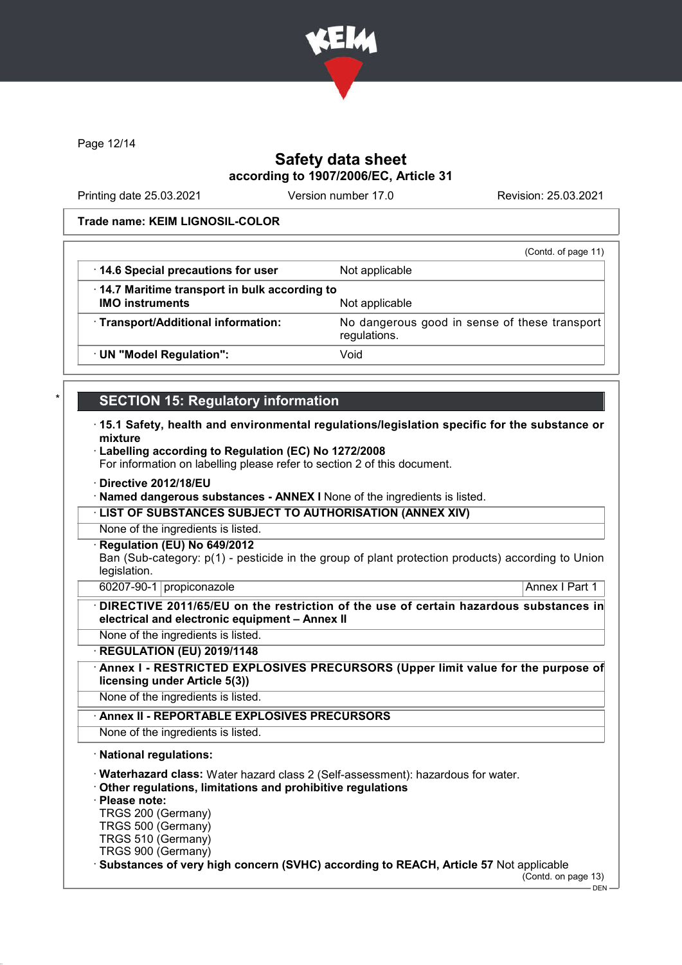

Page 12/14

### Safety data sheet according to 1907/2006/EC, Article 31

Printing date 25.03.2021 Version number 17.0 Revision: 25.03.2021

#### Trade name: KEIM LIGNOSIL-COLOR

|                                                                                | (Contd. of page 11)                                           |
|--------------------------------------------------------------------------------|---------------------------------------------------------------|
| 14.6 Special precautions for user                                              | Not applicable                                                |
| $\cdot$ 14.7 Maritime transport in bulk according to<br><b>IMO instruments</b> | Not applicable                                                |
| · Transport/Additional information:                                            | No dangerous good in sense of these transport<br>regulations. |
| · UN "Model Regulation":                                                       | Void                                                          |

### **SECTION 15: Regulatory information**

- · 15.1 Safety, health and environmental regulations/legislation specific for the substance or mixture
- · Labelling according to Regulation (EC) No 1272/2008

For information on labelling please refer to section 2 of this document.

- · Directive 2012/18/EU
- · Named dangerous substances ANNEX I None of the ingredients is listed.
- · LIST OF SUBSTANCES SUBJECT TO AUTHORISATION (ANNEX XIV)
- None of the ingredients is listed.
- Regulation (EU) No 649/2012

Ban (Sub-category: p(1) - pesticide in the group of plant protection products) according to Union legislation.

60207-90-1 propiconazole Annex I Part 1

DIRECTIVE 2011/65/EU on the restriction of the use of certain hazardous substances in electrical and electronic equipment – Annex II

None of the ingredients is listed.

· REGULATION (EU) 2019/1148

Annex I - RESTRICTED EXPLOSIVES PRECURSORS (Upper limit value for the purpose of licensing under Article 5(3))

None of the ingredients is listed.

Annex II - REPORTABLE EXPLOSIVES PRECURSORS

None of the ingredients is listed.

· National regulations:

· Waterhazard class: Water hazard class 2 (Self-assessment): hazardous for water.

· Other regulations, limitations and prohibitive regulations

· Please note:

TRGS 200 (Germany)

TRGS 500 (Germany)

TRGS 510 (Germany)

TRGS 900 (Germany)

Substances of very high concern (SVHC) according to REACH, Article 57 Not applicable

(Contd. on page 13)

DEN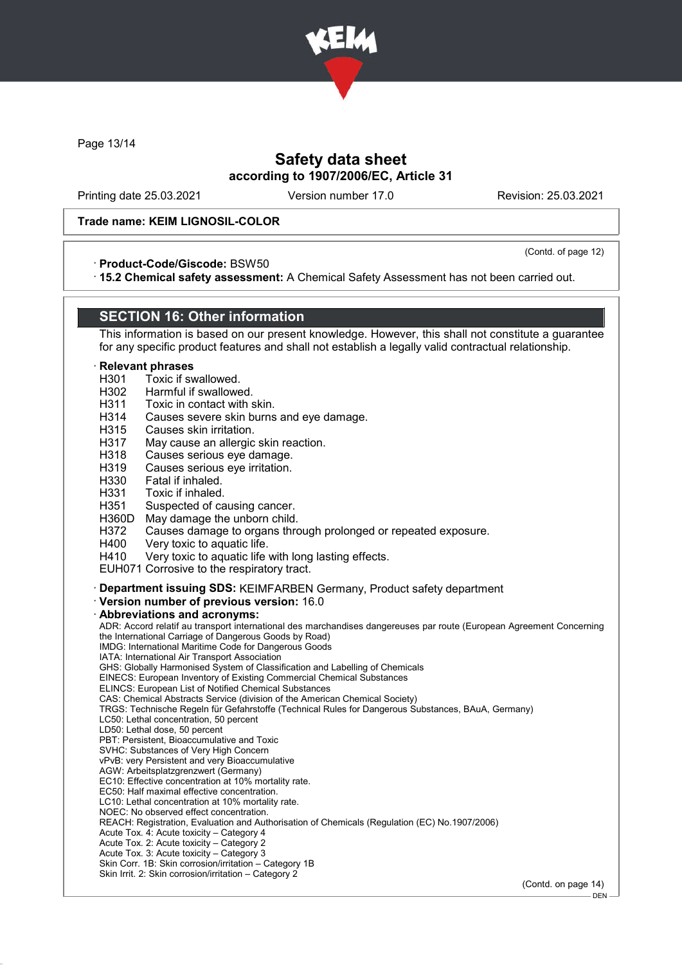

Page 13/14

### Safety data sheet according to 1907/2006/EC, Article 31

Printing date 25.03.2021 Version number 17.0 Revision: 25.03.2021

(Contd. of page 12)

#### Trade name: KEIM LIGNOSIL-COLOR

#### · Product-Code/Giscode: BSW50

· 15.2 Chemical safety assessment: A Chemical Safety Assessment has not been carried out.

### SECTION 16: Other information

This information is based on our present knowledge. However, this shall not constitute a guarantee for any specific product features and shall not establish a legally valid contractual relationship.

#### **Relevant phrases**

- H301 Toxic if swallowed.
- 
- H<sub>302</sub> Harmful if swallowed.<br>H<sub>311</sub> Toxic in contact with s Toxic in contact with skin.
- H314 Causes severe skin burns and eye damage.
- H315 Causes skin irritation.
- H317 May cause an allergic skin reaction.
- H318 Causes serious eye damage.<br>H319 Causes serious eve irritation.
- H319 Causes serious eye irritation.<br>H330 Fatal if inhaled
- Fatal if inhaled.
- H331 Toxic if inhaled.
- H351 Suspected of causing cancer.<br>H360D May damage the unborn child
- May damage the unborn child.
- H372 Causes damage to organs through prolonged or repeated exposure.
- H400 Very toxic to aquatic life.<br>H410 Very toxic to aquatic life
- Very toxic to aquatic life with long lasting effects.
- EUH071 Corrosive to the respiratory tract.

· Department issuing SDS: KEIMFARBEN Germany, Product safety department

· Version number of previous version: 16.0

#### · Abbreviations and acronyms:

ADR: Accord relatif au transport international des marchandises dangereuses par route (European Agreement Concerning the International Carriage of Dangerous Goods by Road) IMDG: International Maritime Code for Dangerous Goods IATA: International Air Transport Association GHS: Globally Harmonised System of Classification and Labelling of Chemicals EINECS: European Inventory of Existing Commercial Chemical Substances ELINCS: European List of Notified Chemical Substances CAS: Chemical Abstracts Service (division of the American Chemical Society) TRGS: Technische Regeln für Gefahrstoffe (Technical Rules for Dangerous Substances, BAuA, Germany) LC50: Lethal concentration, 50 percent LD50: Lethal dose, 50 percent PBT: Persistent, Bioaccumulative and Toxic SVHC: Substances of Very High Concern vPvB: very Persistent and very Bioaccumulative AGW: Arbeitsplatzgrenzwert (Germany) EC10: Effective concentration at 10% mortality rate. EC50: Half maximal effective concentration. LC10: Lethal concentration at 10% mortality rate. NOEC: No observed effect concentration. REACH: Registration, Evaluation and Authorisation of Chemicals (Regulation (EC) No.1907/2006) Acute Tox. 4: Acute toxicity – Category 4 Acute Tox. 2: Acute toxicity – Category 2 Acute Tox. 3: Acute toxicity – Category 3 Skin Corr. 1B: Skin corrosion/irritation – Category 1B Skin Irrit. 2: Skin corrosion/irritation – Category 2 (Contd. on page 14) DEN